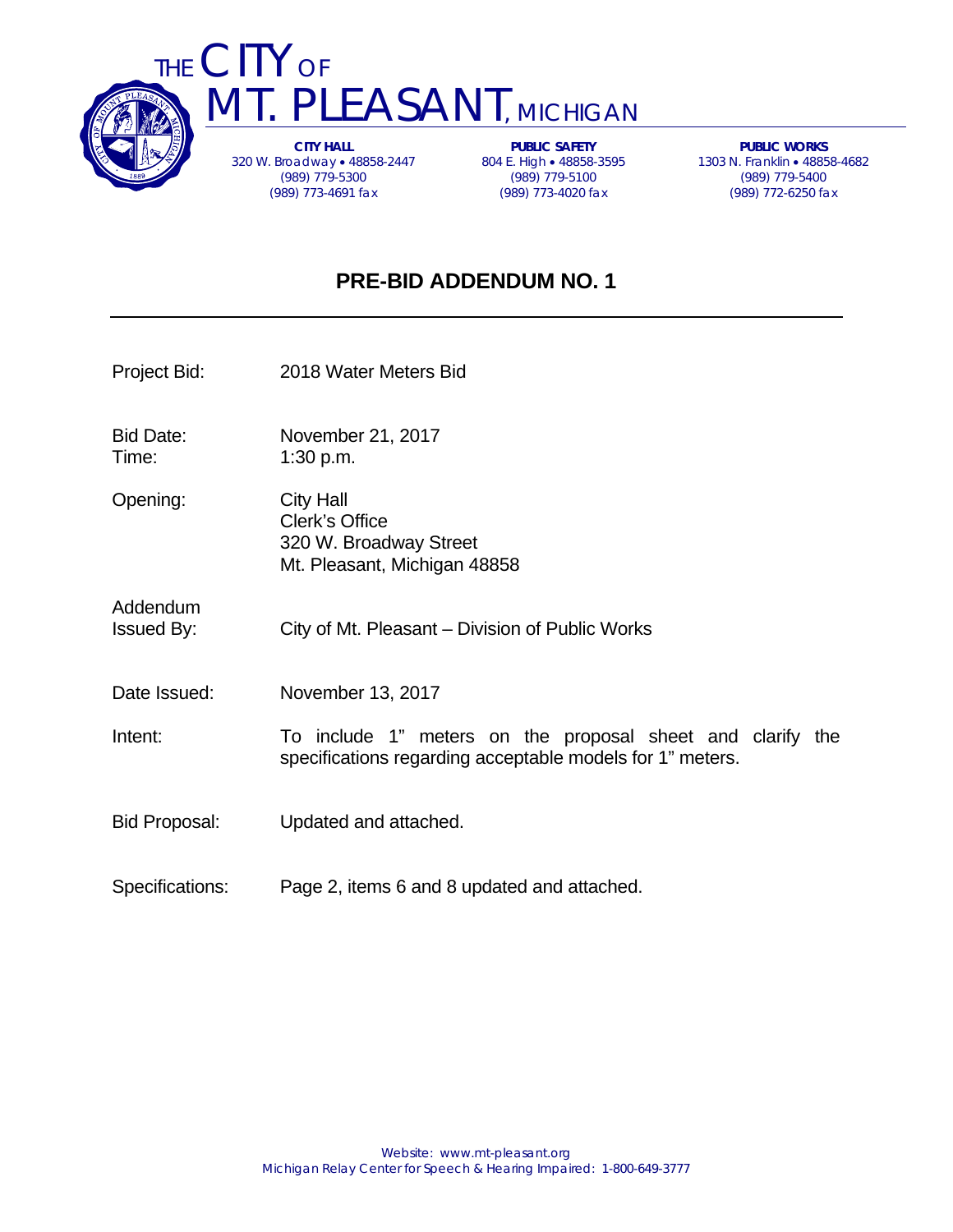



**CITY HALL**  320 W. Broadway 48858-2447 (989) 779-5300 (989) 773-4691 fax

**PUBLIC SAFETY**  804 E. High • 48858-3595 (989) 779-5100 (989) 773-4020 fax

**PUBLIC WORKS**  1303 N. Franklin 48858-4682 (989) 779-5400 (989) 772-6250 fax

# **PRE-BID ADDENDUM NO. 1**

- Project Bid: 2018 Water Meters Bid
- Bid Date: November 21, 2017 Time: 1:30 p.m.
- Opening: City Hall Clerk's Office 320 W. Broadway Street Mt. Pleasant, Michigan 48858
- Addendum Issued By: City of Mt. Pleasant – Division of Public Works
- Date Issued: November 13, 2017
- Intent: To include 1" meters on the proposal sheet and clarify the specifications regarding acceptable models for 1" meters.
- Bid Proposal: Updated and attached.
- Specifications: Page 2, items 6 and 8 updated and attached.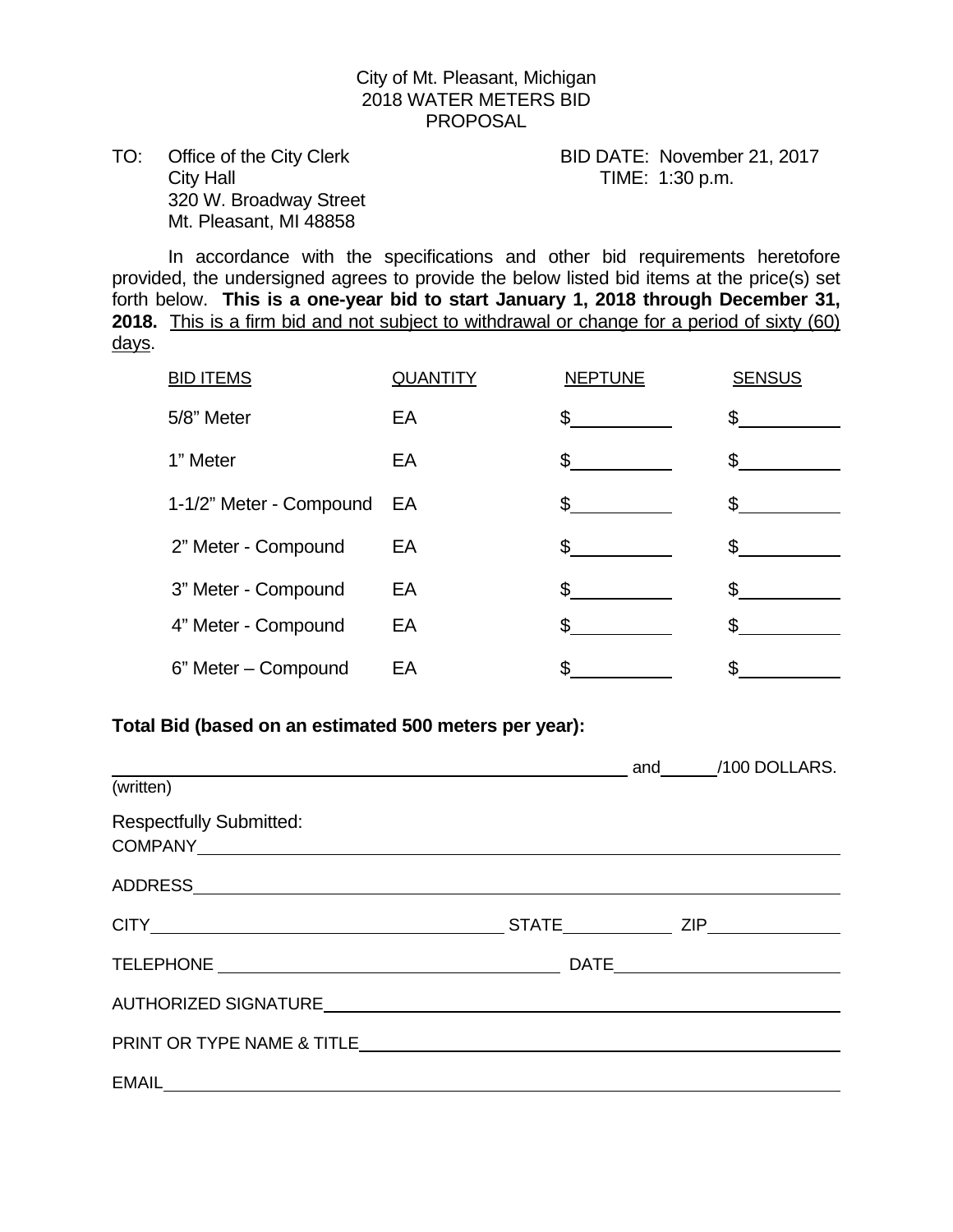# City of Mt. Pleasant, Michigan 2018 WATER METERS BID PROPOSAL

TO: Office of the City Clerk BID DATE: November 21, 2017 City Hall City Hall City Hall City Hall City Hall City Hall City Hall City Hall City Hall City Hall City Hall City Hall City Hall City Hall City Hall City Hall City Hall City Hall City Hall City Hall City Hall City Hall Ci 320 W. Broadway Street Mt. Pleasant, MI 48858

 In accordance with the specifications and other bid requirements heretofore provided, the undersigned agrees to provide the below listed bid items at the price(s) set forth below. **This is a one-year bid to start January 1, 2018 through December 31, 2018.** This is a firm bid and not subject to withdrawal or change for a period of sixty (60) days.

| <b>BID ITEMS</b>        | <b>QUANTITY</b> | <b>NEPTUNE</b> | <b>SENSUS</b> |
|-------------------------|-----------------|----------------|---------------|
| 5/8" Meter              | EA              | \$             |               |
| 1" Meter                | EA              | \$             |               |
| 1-1/2" Meter - Compound | EA              | \$             |               |
| 2" Meter - Compound     | EA              | $\mathfrak{L}$ |               |
| 3" Meter - Compound     | EA              | \$             |               |
| 4" Meter - Compound     | EA              | S.             |               |
| 6" Meter - Compound     | EA              | \$             |               |

### **Total Bid (based on an estimated 500 meters per year):**

|                                                                                                                                                                                                                                |  |  | and /100 DOLLARS. |
|--------------------------------------------------------------------------------------------------------------------------------------------------------------------------------------------------------------------------------|--|--|-------------------|
| (written)                                                                                                                                                                                                                      |  |  |                   |
| <b>Respectfully Submitted:</b>                                                                                                                                                                                                 |  |  |                   |
|                                                                                                                                                                                                                                |  |  |                   |
|                                                                                                                                                                                                                                |  |  |                   |
|                                                                                                                                                                                                                                |  |  |                   |
| AUTHORIZED SIGNATURE AND THE SERVICE OF THE SERVICE OF THE SERVICE OF THE SERVICE OF THE SERVICE OF THE SERVICE OF THE SERVICE OF THE SERVICE OF THE SERVICE OF THE SERVICE OF THE SERVICE OF THE SERVICE OF THE SERVICE OF TH |  |  |                   |
|                                                                                                                                                                                                                                |  |  |                   |
|                                                                                                                                                                                                                                |  |  |                   |